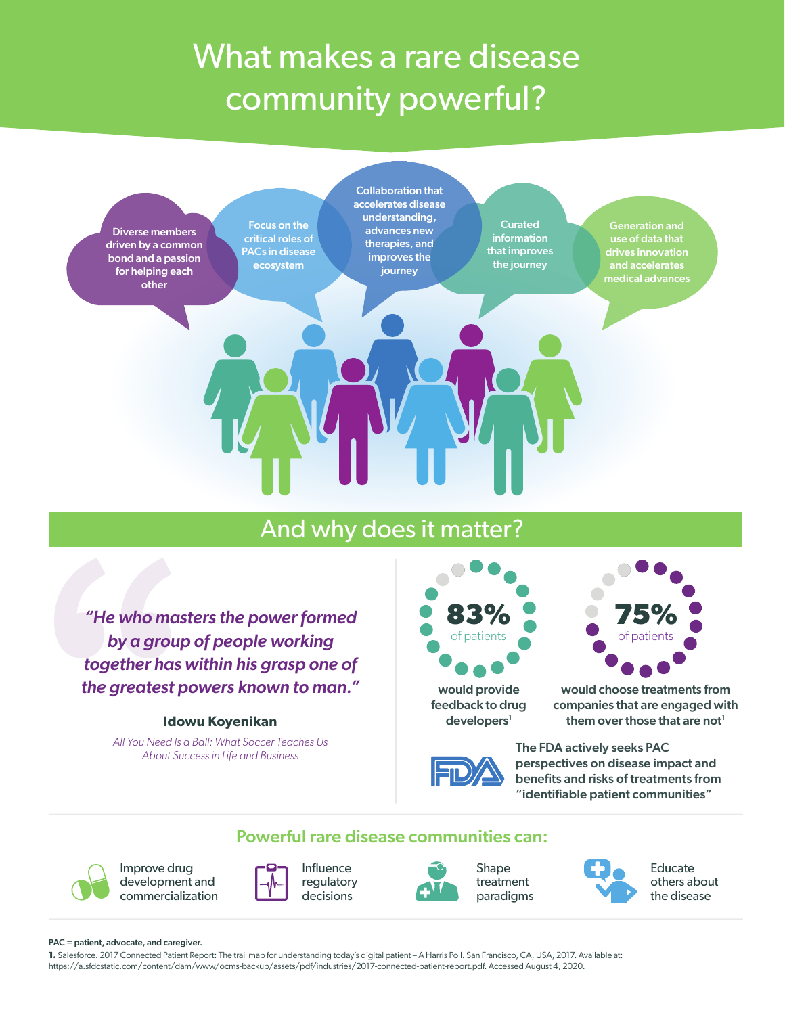# What makes a rare disease community powerful?



## And why does it matter?

*"He who maste"*<br>by a group<br>together has w<br>the greatest pc<br>Idow<br>All You Need Is a L<br>About Succ *"He who masters the power formed by a group of people working together has within his grasp one of the greatest powers known to man."*

#### **Idowu Koyenikan**

*All You Need Is a Ball: What Soccer Teaches Us About Success in Life and Business*



would provide feedback to drug  $developers<sup>1</sup>$ 



would choose treatments from companies that are engaged with them over those that are not<sup>1</sup>



The FDA actively seeks PAC perspectives on disease impact and benefits and risks of treatments from "identifiable patient communities"

#### Powerful rare disease communities can:



Improve drug development and commercialization



Influence regulatory decisions



Shape treatment paradigms



Educate others about the disease

#### PAC = patient, advocate, and caregiver.

**1.** Salesforce. 2017 Connected Patient Report: The trail map for understanding today's digital patient – A Harris Poll. San Francisco, CA, USA, 2017. Available at: https://a.sfdcstatic.com/content/dam/www/ocms-backup/assets/pdf/industries/2017-connected-patient-report.pdf. Accessed August 4, 2020.